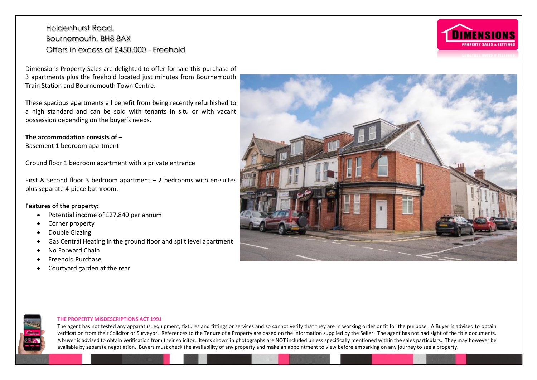Dimensions Property Sales are delighted to offer for sale this purchase of 3 apartments plus the freehold located just minutes from Bournemouth Train Station and Bournemouth Town Centre.

These spacious apartments all benefit from being recently refurbished to a high standard and can be sold with tenants in situ or with vacant possession depending on the buyer's needs.

#### **The accommodation consists of –**

Basement 1 bedroom apartment

Ground floor 1 bedroom apartment with a private entrance

First & second floor 3 bedroom apartment – 2 bedrooms with en-suites plus separate 4-piece bathroom.

#### **Features of the property:**

- Potential income of £27,840 per annum
- Corner property
- Double Glazing
- Gas Central Heating in the ground floor and split level apartment
- No Forward Chain
- Freehold Purchase
- Courtyard garden at the rear





#### **THE PROPERTY MISDESCRIPTIONS ACT 1991**

The agent has not tested any apparatus, equipment, fixtures and fittings or services and so cannot verify that they are in working order or fit for the purpose. A Buyer is advised to obtain verification from their Solicitor or Surveyor. References to the Tenure of a Property are based on the information supplied by the Seller. The agent has not had sight of the title documents. A buyer is advised to obtain verification from their solicitor. Items shown in photographs are NOT included unless specifically mentioned within the sales particulars. They may however be available by separate negotiation. Buyers must check the availability of any property and make an appointment to view before embarking on any journey to see a property.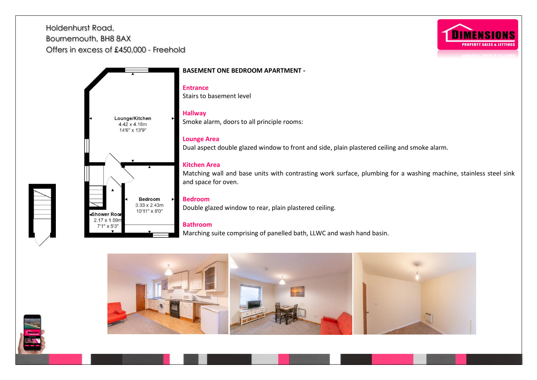

**BASEMENT ONE BEDROOM APARTMENT - Entrance** Stairs to basement level **Hallway**  Lounge/Kitchen Smoke alarm, doors to all principle rooms:  $4.42 \times 4.18m$ 14'6" x 13'9" **Lounge Area**  Dual aspect double glazed window to front and side, plain plastered ceiling and smoke alarm. **Kitchen Area** Matching wall and base units with contrasting work surface, plumbing for a washing machine, stainless steel sink and space for oven. **Bedroom Bedroom**   $3.33 \times 2.43m$ Double glazed window to rear, plain plastered ceiling. 10'11" x 8'0" Shower Roor 2.17 x 1.59r **Bathroom** 7'1" x 5'3' Marching suite comprising of panelled bath, LLWC and wash hand basin.





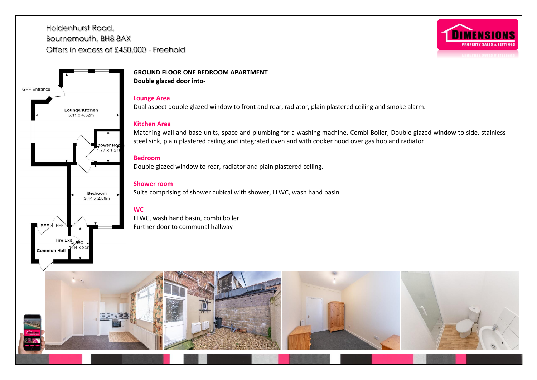hower Ro  $77 \times 12$ 

**Bedroom** 3.44 x 2.59m

Fire Exit

**Common Hall** 

ŃС

Lounge/Kitchen  $5.11 \times 4.52m$ 

**GFF** Entrance



**GROUND FLOOR ONE BEDROOM APARTMENT Double glazed door into-**

## **Lounge Area**

Dual aspect double glazed window to front and rear, radiator, plain plastered ceiling and smoke alarm.

## **Kitchen Area**

Matching wall and base units, space and plumbing for a washing machine, Combi Boiler, Double glazed window to side, stainless steel sink, plain plastered ceiling and integrated oven and with cooker hood over gas hob and radiator

## **Bedroom**

Double glazed window to rear, radiator and plain plastered ceiling.

## **Shower room**

Suite comprising of shower cubical with shower, LLWC, wash hand basin

## **WC**

LLWC, wash hand basin, combi boiler Further door to communal hallway

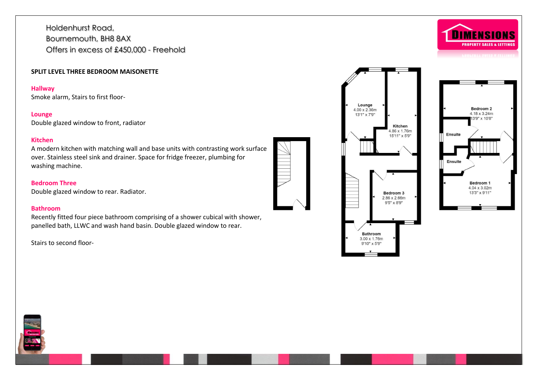### **SPLIT LEVEL THREE BEDROOM MAISONETTE**

### **Hallway**

Smoke alarm, Stairs to first floor-

## **Lounge**

Double glazed window to front, radiator

## **Kitchen**

A modern kitchen with matching wall and base units with contrasting work surface over. Stainless steel sink and drainer. Space for fridge freezer, plumbing for washing machine.

## **Bedroom Three**

Double glazed window to rear. Radiator.

## **Bathroom**

Recently fitted four piece bathroom comprising of a shower cubical with shower, panelled bath, LLWC and wash hand basin. Double glazed window to rear.

Stairs to second floor-



Lounge  $4.00 \times 2.36m$ 

13'1" x 7'9"

Kitchen 4.86 x 1.76m

15'11" x 5'9"

Bedroom 3

2.86 x 2.66m 9'5" x 8'9"

**Bathroom** 3.00 x 1.76m 9'10" x 5'9"